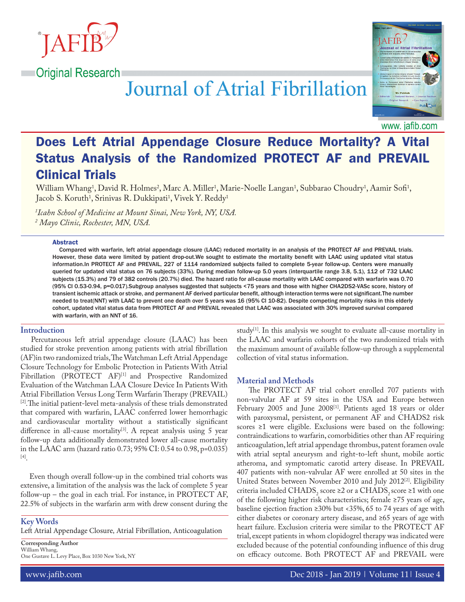

# Journal of Atrial Fibrillation



www. jafib.com

# Does Left Atrial Appendage Closure Reduce Mortality? A Vital Status Analysis of the Randomized PROTECT AF and PREVAIL Clinical Trials

William Whang<sup>1</sup>, David R. Holmes<sup>2</sup>, Marc A. Miller<sup>1</sup>, Marie-Noelle Langan<sup>1</sup>, Subbarao Choudry<sup>1</sup>, Aamir Sofi<sup>1</sup>, Jacob S. Koruth<sup>1</sup>, Srinivas R. Dukkipati<sup>1</sup>, Vivek Y. Reddy<sup>1</sup>

*1 Icahn School of Medicine at Mount Sinai, New York, NY, USA. 2 Mayo Clinic, Rochester, MN, USA.*

#### Abstract

Compared with warfarin, left atrial appendage closure (LAAC) reduced mortality in an analysis of the PROTECT AF and PREVAIL trials. However, these data were limited by patient drop-out.We sought to estimate the mortality benefit with LAAC using updated vital status information.In PROTECT AF and PREVAIL, 227 of 1114 randomized subjects failed to complete 5-year follow-up. Centers were manually queried for updated vital status on 76 subjects (33%). During median follow-up 5.0 years (interquartile range 3.8, 5.1), 112 of 732 LAAC subjects (15.3%) and 79 of 382 controls (20.7%) died. The hazard ratio for all-cause mortality with LAAC compared with warfarin was 0.70 (95% CI 0.53-0.94, p=0.017).Subgroup analyses suggested that subjects <75 years and those with higher CHA2DS2-VASc score, history of transient ischemic attack or stroke, and permanent AF derived particular benefit, although interaction terms were not significant.The number needed to treat(NNT) with LAAC to prevent one death over 5 years was 16 (95% CI 10-82). Despite competing mortality risks in this elderly cohort, updated vital status data from PROTECT AF and PREVAIL revealed that LAAC was associated with 30% improved survival compared with warfarin, with an NNT of 16.

#### **Introduction**

 Percutaneous left atrial appendage closure (LAAC) has been studied for stroke prevention among patients with atrial fibrillation (AF)in two randomized trials, The Watchman Left Atrial Appendage Closure Technology for Embolic Protection in Patients With Atrial Fibrillation (PROTECT AF)<sup>[1]</sup> and Prospective Randomized Evaluation of the Watchman LAA Closure Device In Patients With Atrial Fibrillation Versus Long Term Warfarin Therapy (PREVAIL) [2].The initial patient-level meta-analysis of these trials demonstrated that compared with warfarin, LAAC conferred lower hemorrhagic and cardiovascular mortality without a statistically significant difference in all-cause mortality<sup>[3]</sup>. A repeat analysis using 5 year follow-up data additionally demonstrated lower all-cause mortality in the LAAC arm (hazard ratio 0.73; 95% CI: 0.54 to 0.98, p=0.035) [4].

 Even though overall follow-up in the combined trial cohorts was extensive, a limitation of the analysis was the lack of complete 5 year follow-up – the goal in each trial. For instance, in PROTECT AF, 22.5% of subjects in the warfarin arm with drew consent during the

**Key Words** Left Atrial Appendage Closure, Atrial Fibrillation, Anticoagulation

**Corresponding Author** William Whang, One Gustave L. Levy Place, Box 1030 New York, NY study $[1]$ . In this analysis we sought to evaluate all-cause mortality in the LAAC and warfarin cohorts of the two randomized trials with the maximum amount of available follow-up through a supplemental collection of vital status information.

#### **Material and Methods**

 The PROTECT AF trial cohort enrolled 707 patients with non-valvular AF at 59 sites in the USA and Europe between February 2005 and June 2008<sup>[1]</sup>. Patients aged 18 years or older with paroxysmal, persistent, or permanent AF and CHADS2 risk scores ≥1 were eligible. Exclusions were based on the following: contraindications to warfarin, comorbidities other than AF requiring anticoagulation, left atrial appendage thrombus, patent foramen ovale with atrial septal aneurysm and right-to-left shunt, mobile aortic atheroma, and symptomatic carotid artery disease. In PREVAIL 407 patients with non-valvular AF were enrolled at 50 sites in the United States between November 2010 and July 2012[2]. Eligibility criteria included CHADS<sub>2</sub> score ≥2 or a CHADS<sub>2</sub> score ≥1 with one of the following higher risk characteristics; female ≥75 years of age, baseline ejection fraction ≥30% but <35%, 65 to 74 years of age with either diabetes or coronary artery disease, and ≥65 years of age with heart failure. Exclusion criteria were similar to the PROTECT AF trial, except patients in whom clopidogrel therapy was indicated were excluded because of the potential confounding influence of this drug on efficacy outcome. Both PROTECT AF and PREVAIL were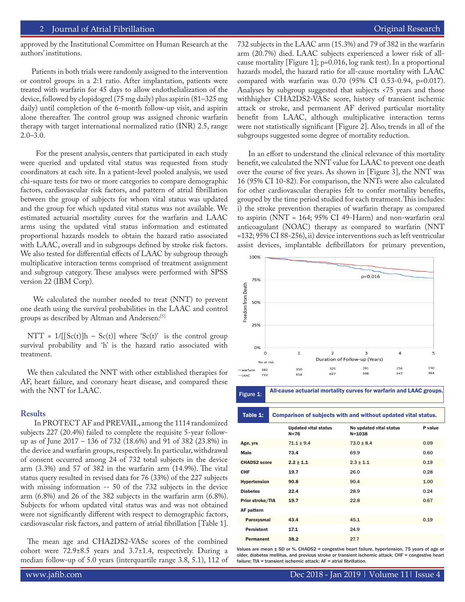#### 2 Journal of Atrial Fibrillation **Community Community** Community Community Community Community Community Community

approved by the Institutional Committee on Human Research at the authors' institutions.

 Patients in both trials were randomly assigned to the intervention or control groups in a 2:1 ratio. After implantation, patients were treated with warfarin for 45 days to allow endothelialization of the device, followed by clopidogrel (75 mg daily) plus aspirin (81–325 mg daily) until completion of the 6-month follow-up visit, and aspirin alone thereafter. The control group was assigned chronic warfarin therapy with target international normalized ratio (INR) 2.5, range 2.0–3.0.

 For the present analysis, centers that participated in each study were queried and updated vital status was requested from study coordinators at each site. In a patient-level pooled analysis, we used chi-square tests for two or more categories to compare demographic factors, cardiovascular risk factors, and pattern of atrial fibrillation between the group of subjects for whom vital status was updated and the group for which updated vital status was not available. We estimated actuarial mortality curves for the warfarin and LAAC arms using the updated vital status information and estimated proportional hazards models to obtain the hazard ratio associated with LAAC, overall and in subgroups defined by stroke risk factors. We also tested for differential effects of LAAC by subgroup through multiplicative interaction terms comprised of treatment assignment and subgroup category. These analyses were performed with SPSS version 22 (IBM Corp).

 We calculated the number needed to treat (NNT) to prevent one death using the survival probabilities in the LAAC and control groups as described by Altman and Andersen:[5]

NTT =  $1/([Sc(t)]h - Sc(t)]$  where 'Sc(t)' is the control group survival probability and 'h' is the hazard ratio associated with treatment.

We then calculated the NNT with other established therapies for AF, heart failure, and coronary heart disease, and compared these with the NNT for LAAC.

#### **Results**

 In PROTECT AF and PREVAIL, among the 1114 randomized subjects 227 (20.4%) failed to complete the requisite 5-year followup as of June 2017 – 136 of 732 (18.6%) and 91 of 382 (23.8%) in the device and warfarin groups, respectively. In particular, withdrawal of consent occurred among 24 of 732 total subjects in the device arm (3.3%) and 57 of 382 in the warfarin arm (14.9%). The vital status query resulted in revised data for 76 (33%) of the 227 subjects with missing information -- 50 of the 732 subjects in the device arm (6.8%) and 26 of the 382 subjects in the warfarin arm (6.8%). Subjects for whom updated vital status was and was not obtained were not significantly different with respect to demographic factors, cardiovascular risk factors, and pattern of atrial fibrillation [Table 1].

The mean age and CHA2DS2-VASc scores of the combined cohort were 72.9±8.5 years and 3.7±1.4, respectively. During a median follow-up of 5.0 years (interquartile range 3.8, 5.1), 112 of 732 subjects in the LAAC arm (15.3%) and 79 of 382 in the warfarin arm (20.7%) died. LAAC subjects experienced a lower risk of allcause mortality [Figure 1]; p=0.016, log rank test). In a proportional hazards model, the hazard ratio for all-cause mortality with LAAC compared with warfarin was 0.70 (95% CI 0.53-0.94, p=0.017). Analyses by subgroup suggested that subjects <75 years and those withhigher CHA2DS2-VASc score, history of transient ischemic attack or stroke, and permanent AF derived particular mortality benefit from LAAC, although multiplicative interaction terms were not statistically significant [Figure 2]. Also, trends in all of the subgroups suggested some degree of mortality reduction.

 In an effort to understand the clinical relevance of this mortality benefit, we calculated the NNT value for LAAC to prevent one death over the course of five years. As shown in [Figure 3], the NNT was 16 (95% CI 10-82). For comparison, the NNTs were also calculated for other cardiovascular therapies felt to confer mortality benefits, grouped by the time period studied for each treatment. This includes: i) the stroke prevention therapies of warfarin therapy as compared to aspirin (NNT = 164; 95% CI 49-Harm) and non-warfarin oral anticoagulant (NOAC) therapy as compared to warfarin (NNT =132; 95% CI 88-256), ii) device interventions such as left ventricular assist devices, implantable defibrillators for primary prevention,



Figure 1: All-cause actuarial mortality curves for warfarin and LAAC groups.

| Table 1: | Comparison of subjects with and without updated vital status. |
|----------|---------------------------------------------------------------|
|          |                                                               |

|                     | <b>Updated vital status</b><br>$N = 76$ | No updated vital status<br>$N = 1038$ | P value |
|---------------------|-----------------------------------------|---------------------------------------|---------|
| Age, yrs            | $71.1 \pm 9.4$                          | $73.0 \pm 8.4$                        | 0.09    |
| Male                | 73.4                                    | 69.9                                  | 0.60    |
| <b>CHADS2 score</b> | $2.2 \pm 1.1$                           | $2.3 \pm 1.1$                         | 0.19    |
| CHF                 | 19.7                                    | 26.0                                  | 0.28    |
| <b>Hypertension</b> | 90.8                                    | 90.4                                  | 1.00    |
| <b>Diabetes</b>     | 22.4                                    | 28.9                                  | 0.24    |
| Prior stroke/TIA    | 19.7                                    | 22.8                                  | 0.67    |
| AF pattern          |                                         |                                       |         |
| Paroxysmal          | 43.4                                    | 45.1                                  | 0.19    |
| <b>Persistent</b>   | 17.1                                    | 24.9                                  |         |
| <b>Permanent</b>    | 38.2                                    | 27.7                                  |         |

Values are mean ± SD or %. CHADS2 = congestive heart failure, hypertension, 75 years of age or older, diabetes mellitus, and previous stroke or transient ischemic attack; CHF = congestive heart failure; TIA = transient ischemic attack; AF = atrial fibrillation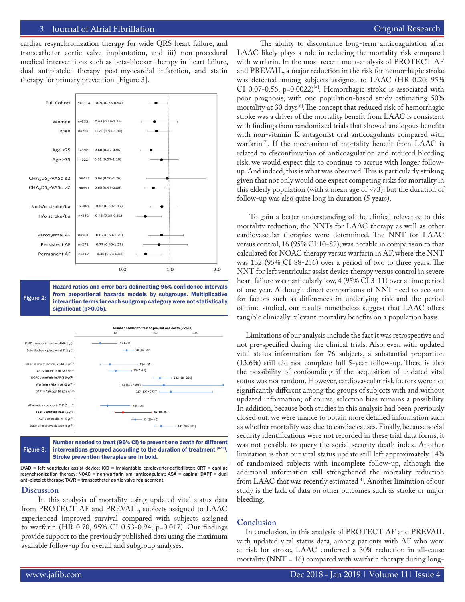#### 3 Journal of Atrial Fibrillation **Secure 2018** 1999 12:30 The Contract Extended Research **Featured Research** Featured Review of The Contract Extended Research **Featured Research Featured Research Featured Research**

cardiac resynchronization therapy for wide QRS heart failure, and transcatheter aortic valve implantation, and iii) non-procedural medical interventions such as beta-blocker therapy in heart failure, dual antiplatelet therapy post-myocardial infarction, and statin therapy for primary prevention [Figure 3].



Figure 2: Hazard ratios and error bars delineating 95% confidence intervals from proportional hazards models by subgroups. Multiplicative interaction terms for each subgroup category were not statistically significant (p>0.05).



Figure 3: Number needed to treat (95% CI) to prevent one death for different interventions grouped according to the duration of treatment [8-17] Stroke prevention therapies are in bold.

 $LVAD$  = left ventricular assist device; ICD = implantable cardioverter-defibrillator; CRT = cardiac resynchronization therapy; NOAC = non-warfarin oral anticoagulant; ASA = aspirin; DAPT = dual anti-platelet therapy; TAVR = transcatheter aortic valve replacement.

#### **Discussion**

 In this analysis of mortality using updated vital status data from PROTECT AF and PREVAIL, subjects assigned to LAAC experienced improved survival compared with subjects assigned to warfarin (HR 0.70, 95% CI 0.53-0.94; p=0.017). Our findings provide support to the previously published data using the maximum available follow-up for overall and subgroup analyses.

 The ability to discontinue long-term anticoagulation after LAAC likely plays a role in reducing the mortality risk compared with warfarin. In the most recent meta-analysis of PROTECT AF and PREVAIL, a major reduction in the risk for hemorrhagic stroke was detected among subjects assigned to LAAC (HR 0.20; 95% CI 0.07-0.56,  $p=0.0022$ <sup>[4]</sup>. Hemorrhagic stroke is associated with poor prognosis, with one population-based study estimating 50% mortality at 30 days<sup>[6]</sup>. The concept that reduced risk of hemorrhagic stroke was a driver of the mortality benefit from LAAC is consistent with findings from randomized trials that showed analogous benefits with non-vitamin K antagonist oral anticoagulants compared with warfarin<sup>[7]</sup>. If the mechanism of mortality benefit from LAAC is related to discontinuation of anticoagulation and reduced bleeding risk, we would expect this to continue to accrue with longer followup. And indeed, this is what was observed. This is particularly striking given that not only would one expect competing risks for mortality in this elderly population (with a mean age of  $\sim$ 73), but the duration of follow-up was also quite long in duration (5 years).

 To gain a better understanding of the clinical relevance to this mortality reduction, the NNTs for LAAC therapy as well as other cardiovascular therapies were determined. The NNT for LAAC versus control, 16 (95% CI 10-82), was notable in comparison to that calculated for NOAC therapy versus warfarin in AF, where the NNT was 132 (95% CI 88-256) over a period of two to three years. The NNT for left ventricular assist device therapy versus control in severe heart failure was particularly low, 4 (95% CI 3-11) over a time period of one year. Although direct comparisons of NNT need to account for factors such as differences in underlying risk and the period of time studied, our results nonetheless suggest that LAAC offers tangible clinically relevant mortality benefits on a population basis.

 Limitations of our analysis include the fact it was retrospective and not pre-specified during the clinical trials. Also, even with updated vital status information for 76 subjects, a substantial proportion (13.6%) still did not complete full 5-year follow-up. There is also the possibility of confounding if the acquisition of updated vital status was not random. However, cardiovascular risk factors were not significantly different among the groups of subjects with and without updated information; of course, selection bias remains a possibility. In addition, because both studies in this analysis had been previously closed out, we were unable to obtain more detailed information such as whether mortality was due to cardiac causes. Finally, because social security identifications were not recorded in these trial data forms, it was not possible to query the social security death index. Another limitation is that our vital status update still left approximately 14% of randomized subjects with incomplete follow-up, although the additional information still strengthened the mortality reduction from LAAC that was recently estimated<sup>[4]</sup>. Another limitation of our study is the lack of data on other outcomes such as stroke or major bleeding.

#### **Conclusion**

 In conclusion, in this analysis of PROTECT AF and PREVAIL with updated vital status data, among patients with AF who were at risk for stroke, LAAC conferred a 30% reduction in all-cause mortality (NNT = 16) compared with warfarin therapy during long-